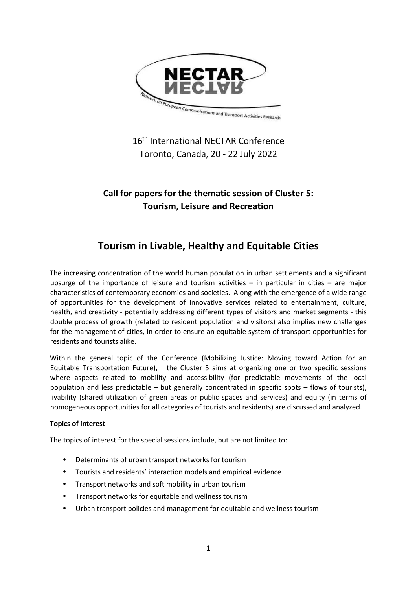

16<sup>th</sup> International NECTAR Conference Toronto, Canada, 20 - 22 July 2022

# **Call for papers for the thematic session of Cluster 5: Tourism, Leisure and Recreation**

# **Tourism in Livable, Healthy and Equitable Cities**

The increasing concentration of the world human population in urban settlements and a significant upsurge of the importance of leisure and tourism activities – in particular in cities – are major characteristics of contemporary economies and societies. Along with the emergence of a wide range of opportunities for the development of innovative services related to entertainment, culture, health, and creativity - potentially addressing different types of visitors and market segments - this double process of growth (related to resident population and visitors) also implies new challenges for the management of cities, in order to ensure an equitable system of transport opportunities for residents and tourists alike.

Within the general topic of the Conference (Mobilizing Justice: Moving toward Action for an Equitable Transportation Future), the Cluster 5 aims at organizing one or two specific sessions where aspects related to mobility and accessibility (for predictable movements of the local population and less predictable – but generally concentrated in specific spots – flows of tourists), livability (shared utilization of green areas or public spaces and services) and equity (in terms of homogeneous opportunities for all categories of tourists and residents) are discussed and analyzed.

## **Topics of interest**

The topics of interest for the special sessions include, but are not limited to:

- Determinants of urban transport networks for tourism
- Tourists and residents' interaction models and empirical evidence
- Transport networks and soft mobility in urban tourism
- Transport networks for equitable and wellness tourism
- Urban transport policies and management for equitable and wellness tourism